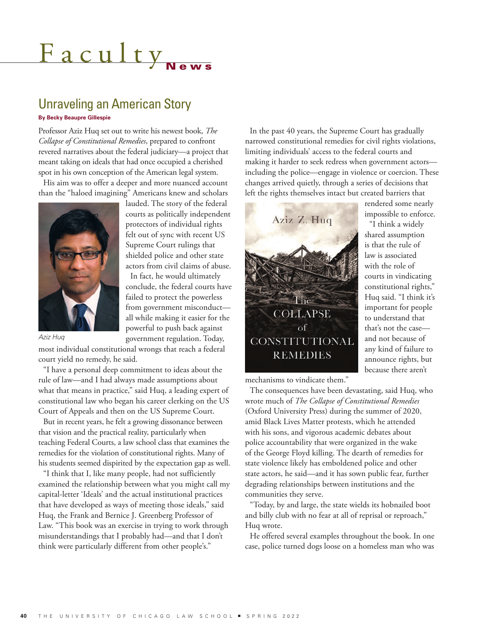# <u>Faculty</u>

## Unraveling an American Story

#### **By Becky Beaupre Gillespie**

Professor Aziz Huq set out to write his newest book, *The Collapse of Constitutional Remedies*, prepared to confront revered narratives about the federal judiciary—a project that meant taking on ideals that had once occupied a cherished spot in his own conception of the American legal system.

His aim was to offer a deeper and more nuanced account than the "haloed imagining" Americans knew and scholars



lauded. The story of the federal courts as politically independent protectors of individual rights felt out of sync with recent US Supreme Court rulings that shielded police and other state actors from civil claims of abuse. In fact, he would ultimately conclude, the federal courts have failed to protect the powerless from government misconduct all while making it easier for the powerful to push back against

government regulation. Today,

*Aziz Huq*

most individual constitutional wrongs that reach a federal court yield no remedy, he said.

"I have a personal deep commitment to ideas about the rule of law—and I had always made assumptions about what that means in practice," said Huq, a leading expert of constitutional law who began his career clerking on the US Court of Appeals and then on the US Supreme Court.

But in recent years, he felt a growing dissonance between that vision and the practical reality, particularly when teaching Federal Courts, a law school class that examines the remedies for the violation of constitutional rights. Many of his students seemed dispirited by the expectation gap as well.

"I think that I, like many people, had not sufficiently examined the relationship between what you might call my capital-letter 'Ideals' and the actual institutional practices that have developed as ways of meeting those ideals," said Huq, the Frank and Bernice J. Greenberg Professor of Law. "This book was an exercise in trying to work through misunderstandings that I probably had—and that I don't think were particularly different from other people's."

In the past 40 years, the Supreme Court has gradually narrowed constitutional remedies for civil rights violations, limiting individuals' access to the federal courts and making it harder to seek redress when government actors including the police—engage in violence or coercion. These changes arrived quietly, through a series of decisions that left the rights themselves intact but created barriers that



rendered some nearly impossible to enforce. "I think a widely shared assumption is that the rule of law is associated with the role of courts in vindicating constitutional rights," Huq said. "I think it's important for people to understand that that's not the case and not because of any kind of failure to announce rights, but because there aren't

mechanisms to vindicate them."

The consequences have been devastating, said Huq, who wrote much of *The Collapse of Constitutional Remedies* (Oxford University Press) during the summer of 2020, amid Black Lives Matter protests, which he attended with his sons, and vigorous academic debates about police accountability that were organized in the wake of the George Floyd killing. The dearth of remedies for state violence likely has emboldened police and other state actors, he said—and it has sown public fear, further degrading relationships between institutions and the communities they serve.

"Today, by and large, the state wields its hobnailed boot and billy club with no fear at all of reprisal or reproach," Huq wrote.

He offered several examples throughout the book. In one case, police turned dogs loose on a homeless man who was